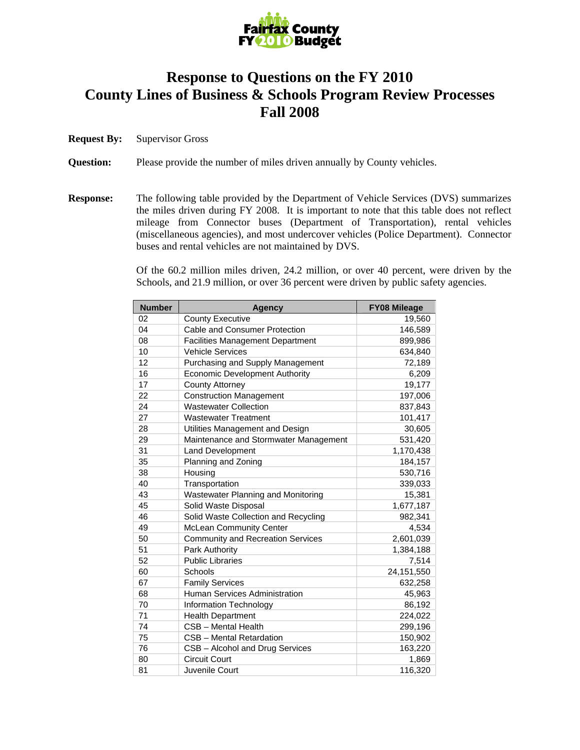

## **Response to Questions on the FY 2010 County Lines of Business & Schools Program Review Processes Fall 2008**

- **Request By:** Supervisor Gross
- **Question:** Please provide the number of miles driven annually by County vehicles.
- **Response:** The following table provided by the Department of Vehicle Services (DVS) summarizes the miles driven during FY 2008. It is important to note that this table does not reflect mileage from Connector buses (Department of Transportation), rental vehicles (miscellaneous agencies), and most undercover vehicles (Police Department). Connector buses and rental vehicles are not maintained by DVS.

Of the 60.2 million miles driven, 24.2 million, or over 40 percent, were driven by the Schools, and 21.9 million, or over 36 percent were driven by public safety agencies.

| <b>Number</b> | Agency                                   | <b>FY08 Mileage</b> |
|---------------|------------------------------------------|---------------------|
| 02            | <b>County Executive</b>                  | 19,560              |
| 04            | Cable and Consumer Protection            | 146,589             |
| 08            | <b>Facilities Management Department</b>  | 899,986             |
| 10            | <b>Vehicle Services</b>                  | 634,840             |
| 12            | Purchasing and Supply Management         | 72,189              |
| 16            | <b>Economic Development Authority</b>    | 6,209               |
| 17            | <b>County Attorney</b>                   | 19,177              |
| 22            | <b>Construction Management</b>           | 197,006             |
| 24            | <b>Wastewater Collection</b>             | 837,843             |
| 27            | <b>Wastewater Treatment</b>              | 101,417             |
| 28            | Utilities Management and Design          | 30,605              |
| 29            | Maintenance and Stormwater Management    | 531,420             |
| 31            | Land Development                         | 1,170,438           |
| 35            | Planning and Zoning                      | 184,157             |
| 38            | Housing                                  | 530,716             |
| 40            | Transportation                           | 339,033             |
| 43            | Wastewater Planning and Monitoring       | 15,381              |
| 45            | Solid Waste Disposal                     | 1,677,187           |
| 46            | Solid Waste Collection and Recycling     | 982,341             |
| 49            | <b>McLean Community Center</b>           | 4,534               |
| 50            | <b>Community and Recreation Services</b> | 2,601,039           |
| 51            | Park Authority                           | 1,384,188           |
| 52            | <b>Public Libraries</b>                  | 7,514               |
| 60            | Schools                                  | 24,151,550          |
| 67            | <b>Family Services</b>                   | 632,258             |
| 68            | Human Services Administration            | 45,963              |
| 70            | Information Technology                   | 86,192              |
| 71            | <b>Health Department</b>                 | 224,022             |
| 74            | CSB - Mental Health                      | 299,196             |
| 75            | CSB - Mental Retardation                 | 150,902             |
| 76            | CSB - Alcohol and Drug Services          | 163,220             |
| 80            | <b>Circuit Court</b>                     | 1,869               |
| 81            | Juvenile Court                           | 116,320             |